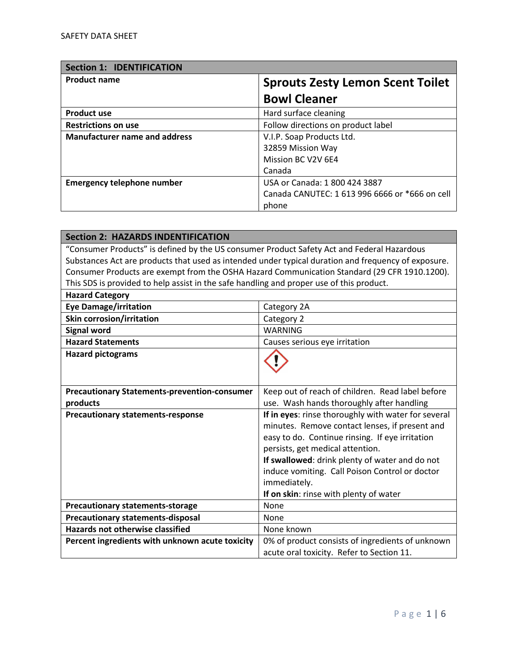| <b>Section 1: IDENTIFICATION</b>     |                                                |
|--------------------------------------|------------------------------------------------|
| <b>Product name</b>                  | <b>Sprouts Zesty Lemon Scent Toilet</b>        |
|                                      | <b>Bowl Cleaner</b>                            |
| <b>Product use</b>                   | Hard surface cleaning                          |
| <b>Restrictions on use</b>           | Follow directions on product label             |
| <b>Manufacturer name and address</b> | V.I.P. Soap Products Ltd.                      |
|                                      | 32859 Mission Way                              |
|                                      | Mission BC V2V 6E4                             |
|                                      | Canada                                         |
| <b>Emergency telephone number</b>    | USA or Canada: 1 800 424 3887                  |
|                                      | Canada CANUTEC: 1 613 996 6666 or *666 on cell |
|                                      | phone                                          |

| <b>Section 2: HAZARDS INDENTIFICATION</b>                                                           |  |
|-----------------------------------------------------------------------------------------------------|--|
| "Consumer Products" is defined by the US consumer Product Safety Act and Federal Hazardous          |  |
| Substances Act are products that used as intended under typical duration and frequency of exposure. |  |
| Consumer Products are exempt from the OSHA Hazard Communication Standard (29 CFR 1910.1200).        |  |
| This SDS is provided to help assist in the safe handling and proper use of this product.            |  |
|                                                                                                     |  |
| Category 2A                                                                                         |  |
| Category 2                                                                                          |  |
| <b>WARNING</b>                                                                                      |  |
| Causes serious eye irritation                                                                       |  |
|                                                                                                     |  |
|                                                                                                     |  |
|                                                                                                     |  |
| Keep out of reach of children. Read label before                                                    |  |
| use. Wash hands thoroughly after handling                                                           |  |
| If in eyes: rinse thoroughly with water for several                                                 |  |
| minutes. Remove contact lenses, if present and                                                      |  |
| easy to do. Continue rinsing. If eye irritation                                                     |  |
| persists, get medical attention.                                                                    |  |
| If swallowed: drink plenty of water and do not                                                      |  |
| induce vomiting. Call Poison Control or doctor                                                      |  |
| immediately.                                                                                        |  |
| If on skin: rinse with plenty of water                                                              |  |
| <b>None</b>                                                                                         |  |
| None                                                                                                |  |
| None known                                                                                          |  |
| 0% of product consists of ingredients of unknown                                                    |  |
| acute oral toxicity. Refer to Section 11.                                                           |  |
|                                                                                                     |  |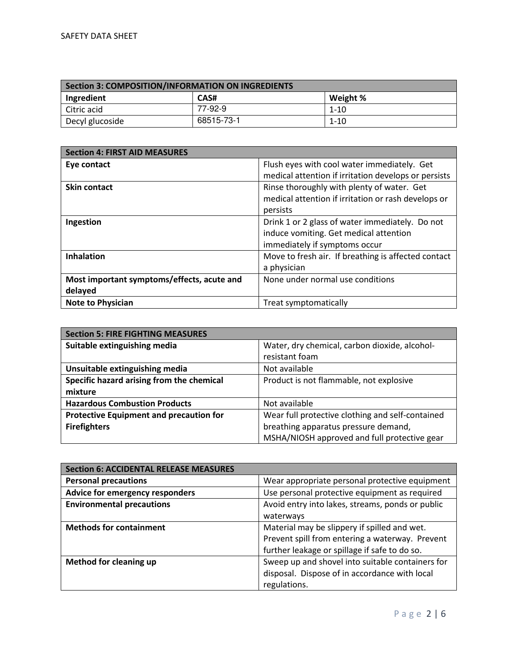| Section 3: COMPOSITION/INFORMATION ON INGREDIENTS |            |          |
|---------------------------------------------------|------------|----------|
| Ingredient                                        | CAS#       | Weight % |
| Citric acid                                       | 77-92-9    | $1 - 10$ |
| Decyl glucoside                                   | 68515-73-1 | $1 - 10$ |

| <b>Section 4: FIRST AID MEASURES</b>       |                                                      |
|--------------------------------------------|------------------------------------------------------|
| Eye contact                                | Flush eyes with cool water immediately. Get          |
|                                            | medical attention if irritation develops or persists |
| <b>Skin contact</b>                        | Rinse thoroughly with plenty of water. Get           |
|                                            | medical attention if irritation or rash develops or  |
|                                            | persists                                             |
| Ingestion                                  | Drink 1 or 2 glass of water immediately. Do not      |
|                                            | induce vomiting. Get medical attention               |
|                                            | immediately if symptoms occur                        |
| <b>Inhalation</b>                          | Move to fresh air. If breathing is affected contact  |
|                                            | a physician                                          |
| Most important symptoms/effects, acute and | None under normal use conditions                     |
| delayed                                    |                                                      |
| <b>Note to Physician</b>                   | Treat symptomatically                                |

| <b>Section 5: FIRE FIGHTING MEASURES</b>       |                                                  |
|------------------------------------------------|--------------------------------------------------|
| Suitable extinguishing media                   | Water, dry chemical, carbon dioxide, alcohol-    |
|                                                | resistant foam                                   |
| Unsuitable extinguishing media                 | Not available                                    |
| Specific hazard arising from the chemical      | Product is not flammable, not explosive          |
| mixture                                        |                                                  |
| <b>Hazardous Combustion Products</b>           | Not available                                    |
| <b>Protective Equipment and precaution for</b> | Wear full protective clothing and self-contained |
| <b>Firefighters</b>                            | breathing apparatus pressure demand,             |
|                                                | MSHA/NIOSH approved and full protective gear     |

| <b>Section 6: ACCIDENTAL RELEASE MEASURES</b> |                                                  |
|-----------------------------------------------|--------------------------------------------------|
| <b>Personal precautions</b>                   | Wear appropriate personal protective equipment   |
| Advice for emergency responders               | Use personal protective equipment as required    |
| <b>Environmental precautions</b>              | Avoid entry into lakes, streams, ponds or public |
|                                               | waterways                                        |
| <b>Methods for containment</b>                | Material may be slippery if spilled and wet.     |
|                                               | Prevent spill from entering a waterway. Prevent  |
|                                               | further leakage or spillage if safe to do so.    |
| Method for cleaning up                        | Sweep up and shovel into suitable containers for |
|                                               | disposal. Dispose of in accordance with local    |
|                                               | regulations.                                     |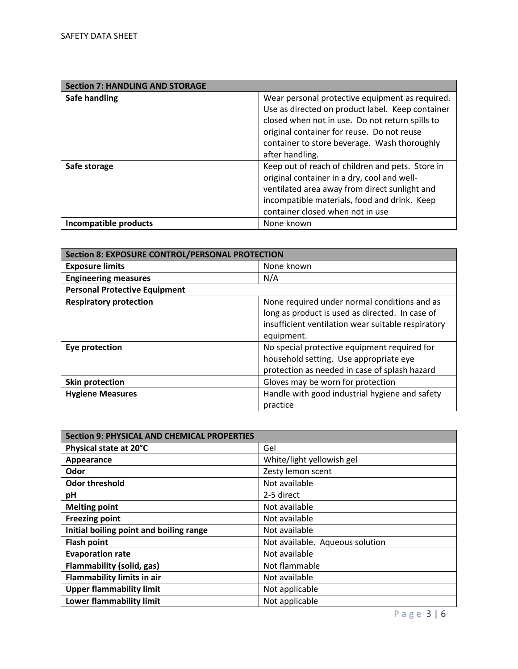| <b>Section 7: HANDLING AND STORAGE</b> |                                                  |
|----------------------------------------|--------------------------------------------------|
| Safe handling                          | Wear personal protective equipment as required.  |
|                                        | Use as directed on product label. Keep container |
|                                        | closed when not in use. Do not return spills to  |
|                                        | original container for reuse. Do not reuse       |
|                                        | container to store beverage. Wash thoroughly     |
|                                        | after handling.                                  |
| Safe storage                           | Keep out of reach of children and pets. Store in |
|                                        | original container in a dry, cool and well-      |
|                                        | ventilated area away from direct sunlight and    |
|                                        | incompatible materials, food and drink. Keep     |
|                                        | container closed when not in use                 |
| Incompatible products                  | None known                                       |

| <b>Section 8: EXPOSURE CONTROL/PERSONAL PROTECTION</b> |                                                    |
|--------------------------------------------------------|----------------------------------------------------|
| <b>Exposure limits</b>                                 | None known                                         |
| <b>Engineering measures</b>                            | N/A                                                |
| <b>Personal Protective Equipment</b>                   |                                                    |
| <b>Respiratory protection</b>                          | None required under normal conditions and as       |
|                                                        | long as product is used as directed. In case of    |
|                                                        | insufficient ventilation wear suitable respiratory |
|                                                        | equipment.                                         |
| Eye protection                                         | No special protective equipment required for       |
|                                                        | household setting. Use appropriate eye             |
|                                                        | protection as needed in case of splash hazard      |
| <b>Skin protection</b>                                 | Gloves may be worn for protection                  |
| <b>Hygiene Measures</b>                                | Handle with good industrial hygiene and safety     |
|                                                        | practice                                           |

| <b>Section 9: PHYSICAL AND CHEMICAL PROPERTIES</b> |                                 |
|----------------------------------------------------|---------------------------------|
| Physical state at 20°C                             | Gel                             |
| Appearance                                         | White/light yellowish gel       |
| Odor                                               | Zesty lemon scent               |
| <b>Odor threshold</b>                              | Not available                   |
| рH                                                 | 2-5 direct                      |
| <b>Melting point</b>                               | Not available                   |
| <b>Freezing point</b>                              | Not available                   |
| Initial boiling point and boiling range            | Not available                   |
| <b>Flash point</b>                                 | Not available. Aqueous solution |
| <b>Evaporation rate</b>                            | Not available                   |
| Flammability (solid, gas)                          | Not flammable                   |
| <b>Flammability limits in air</b>                  | Not available                   |
| <b>Upper flammability limit</b>                    | Not applicable                  |
| <b>Lower flammability limit</b>                    | Not applicable                  |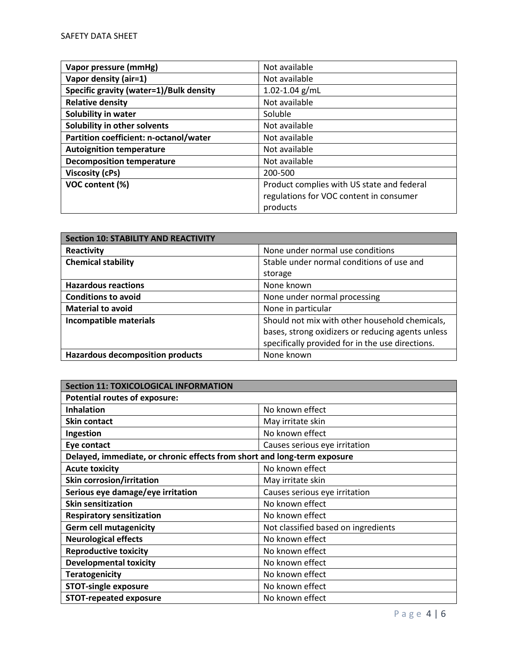| Vapor pressure (mmHg)                   | Not available                              |
|-----------------------------------------|--------------------------------------------|
| Vapor density (air=1)                   | Not available                              |
| Specific gravity (water=1)/Bulk density | $1.02 - 1.04$ g/mL                         |
| <b>Relative density</b>                 | Not available                              |
| Solubility in water                     | Soluble                                    |
| Solubility in other solvents            | Not available                              |
| Partition coefficient: n-octanol/water  | Not available                              |
| <b>Autoignition temperature</b>         | Not available                              |
| <b>Decomposition temperature</b>        | Not available                              |
| Viscosity (cPs)                         | 200-500                                    |
| VOC content (%)                         | Product complies with US state and federal |
|                                         | regulations for VOC content in consumer    |
|                                         | products                                   |

| <b>Section 10: STABILITY AND REACTIVITY</b> |                                                   |
|---------------------------------------------|---------------------------------------------------|
| Reactivity                                  | None under normal use conditions                  |
| <b>Chemical stability</b>                   | Stable under normal conditions of use and         |
|                                             | storage                                           |
| <b>Hazardous reactions</b>                  | None known                                        |
| <b>Conditions to avoid</b>                  | None under normal processing                      |
| <b>Material to avoid</b>                    | None in particular                                |
| Incompatible materials                      | Should not mix with other household chemicals,    |
|                                             | bases, strong oxidizers or reducing agents unless |
|                                             | specifically provided for in the use directions.  |
| <b>Hazardous decomposition products</b>     | None known                                        |

| <b>Section 11: TOXICOLOGICAL INFORMATION</b>                             |                                     |  |
|--------------------------------------------------------------------------|-------------------------------------|--|
| <b>Potential routes of exposure:</b>                                     |                                     |  |
| <b>Inhalation</b>                                                        | No known effect                     |  |
| <b>Skin contact</b>                                                      | May irritate skin                   |  |
| Ingestion                                                                | No known effect                     |  |
| Eye contact                                                              | Causes serious eye irritation       |  |
| Delayed, immediate, or chronic effects from short and long-term exposure |                                     |  |
| <b>Acute toxicity</b>                                                    | No known effect                     |  |
| <b>Skin corrosion/irritation</b>                                         | May irritate skin                   |  |
| Serious eye damage/eye irritation                                        | Causes serious eye irritation       |  |
| <b>Skin sensitization</b>                                                | No known effect                     |  |
| <b>Respiratory sensitization</b>                                         | No known effect                     |  |
| <b>Germ cell mutagenicity</b>                                            | Not classified based on ingredients |  |
| <b>Neurological effects</b>                                              | No known effect                     |  |
| <b>Reproductive toxicity</b>                                             | No known effect                     |  |
| <b>Developmental toxicity</b>                                            | No known effect                     |  |
| <b>Teratogenicity</b>                                                    | No known effect                     |  |
| <b>STOT-single exposure</b>                                              | No known effect                     |  |
| <b>STOT-repeated exposure</b>                                            | No known effect                     |  |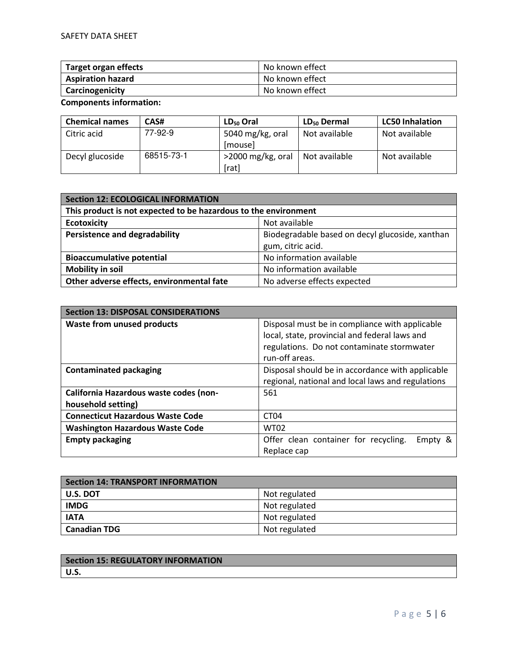| Target organ effects     | No known effect |
|--------------------------|-----------------|
| <b>Aspiration hazard</b> | No known effect |
| Carcinogenicity          | No known effect |

**Components information:** 

| <b>Chemical names</b> | CAS#       | LD <sub>50</sub> Oral | $LD_{50}$ Dermal | <b>LC50 Inhalation</b> |
|-----------------------|------------|-----------------------|------------------|------------------------|
| Citric acid           | 77-92-9    | 5040 mg/kg, oral      | Not available    | Not available          |
|                       |            | [mouse]               |                  |                        |
| Decyl glucoside       | 68515-73-1 | >2000 mg/kg, oral     | Not available    | Not available          |
|                       |            | [rat]                 |                  |                        |

| Section 12: ECOLOGICAL INFORMATION                              |                                                 |  |
|-----------------------------------------------------------------|-------------------------------------------------|--|
| This product is not expected to be hazardous to the environment |                                                 |  |
| <b>Ecotoxicity</b>                                              | Not available                                   |  |
| <b>Persistence and degradability</b>                            | Biodegradable based on decyl glucoside, xanthan |  |
|                                                                 | gum, citric acid.                               |  |
| <b>Bioaccumulative potential</b>                                | No information available                        |  |
| <b>Mobility in soil</b>                                         | No information available                        |  |
| Other adverse effects, environmental fate                       | No adverse effects expected                     |  |

| <b>Section 13: DISPOSAL CONSIDERATIONS</b> |                                                   |  |  |
|--------------------------------------------|---------------------------------------------------|--|--|
| <b>Waste from unused products</b>          | Disposal must be in compliance with applicable    |  |  |
|                                            | local, state, provincial and federal laws and     |  |  |
|                                            | regulations. Do not contaminate stormwater        |  |  |
|                                            | run-off areas.                                    |  |  |
| <b>Contaminated packaging</b>              | Disposal should be in accordance with applicable  |  |  |
|                                            | regional, national and local laws and regulations |  |  |
| California Hazardous waste codes (non-     | 561                                               |  |  |
| household setting)                         |                                                   |  |  |
| <b>Connecticut Hazardous Waste Code</b>    | CT <sub>04</sub>                                  |  |  |
| <b>Washington Hazardous Waste Code</b>     | <b>WT02</b>                                       |  |  |
| <b>Empty packaging</b>                     | Offer clean container for recycling.<br>Empty &   |  |  |
|                                            | Replace cap                                       |  |  |

| <b>Section 14: TRANSPORT INFORMATION</b> |               |
|------------------------------------------|---------------|
| l U.S. DOT                               | Not regulated |
| <b>IMDG</b>                              | Not regulated |
| <b>IATA</b>                              | Not regulated |
| Canadian TDG                             | Not regulated |

| <b>Section 15: REGULATORY INFORMATION</b> |  |
|-------------------------------------------|--|
| ∣ U.S.                                    |  |
|                                           |  |